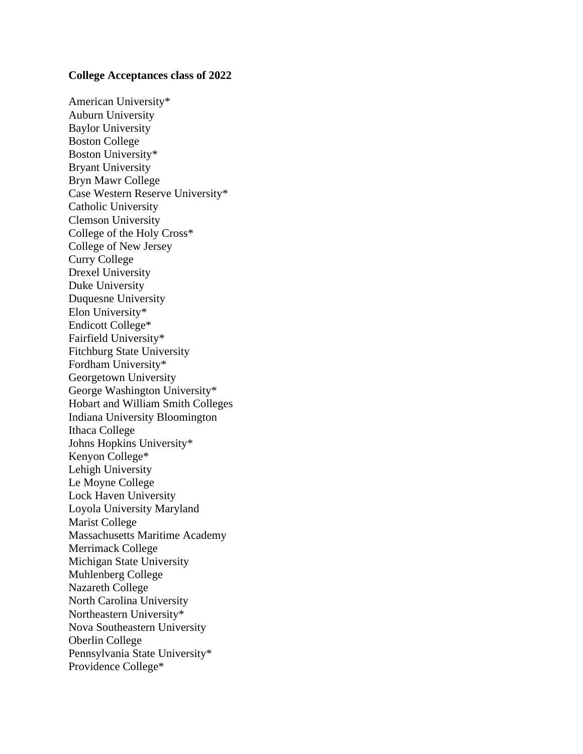## **College Acceptances class of 2022**

American University\* Auburn University Baylor University Boston College Boston University\* Bryant University Bryn Mawr College Case Western Reserve University\* Catholic University Clemson University College of the Holy Cross\* College of New Jersey Curry College Drexel University Duke University Duquesne University Elon University\* Endicott College\* Fairfield University\* Fitchburg State University Fordham University\* Georgetown University George Washington University\* Hobart and William Smith Colleges Indiana University Bloomington Ithaca College Johns Hopkins University\* Kenyon College\* Lehigh University Le Moyne College Lock Haven University Loyola University Maryland Marist College Massachusetts Maritime Academy Merrimack College Michigan State University Muhlenberg College Nazareth College North Carolina University Northeastern University\* Nova Southeastern University Oberlin College Pennsylvania State University\* Providence College\*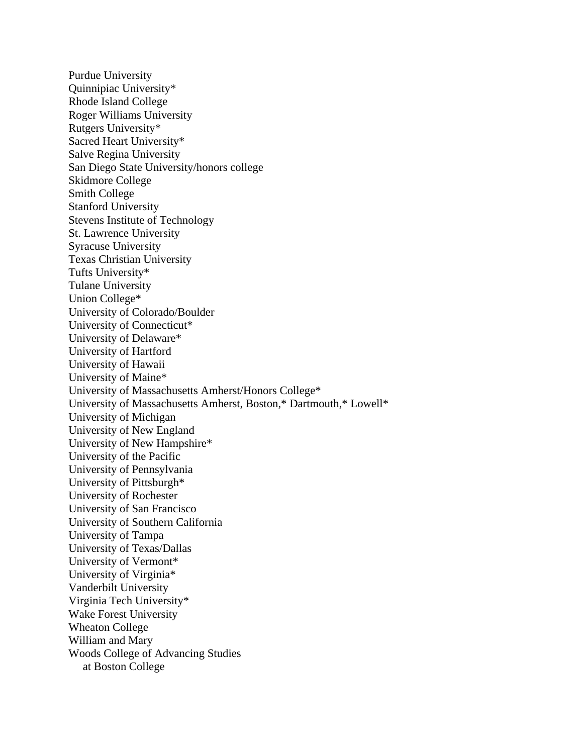Purdue University Quinnipiac University\* Rhode Island College Roger Williams University Rutgers University\* Sacred Heart University\* Salve Regina University San Diego State University/honors college Skidmore College Smith College Stanford University Stevens Institute of Technology St. Lawrence University Syracuse University Texas Christian University Tufts University\* Tulane University Union College\* University of Colorado/Boulder University of Connecticut\* University of Delaware\* University of Hartford University of Hawaii University of Maine\* University of Massachusetts Amherst/Honors College\* University of Massachusetts Amherst, Boston,\* Dartmouth,\* Lowell\* University of Michigan University of New England University of New Hampshire\* University of the Pacific University of Pennsylvania University of Pittsburgh\* University of Rochester University of San Francisco University of Southern California University of Tampa University of Texas/Dallas University of Vermont\* University of Virginia\* Vanderbilt University Virginia Tech University\* Wake Forest University Wheaton College William and Mary Woods College of Advancing Studies at Boston College